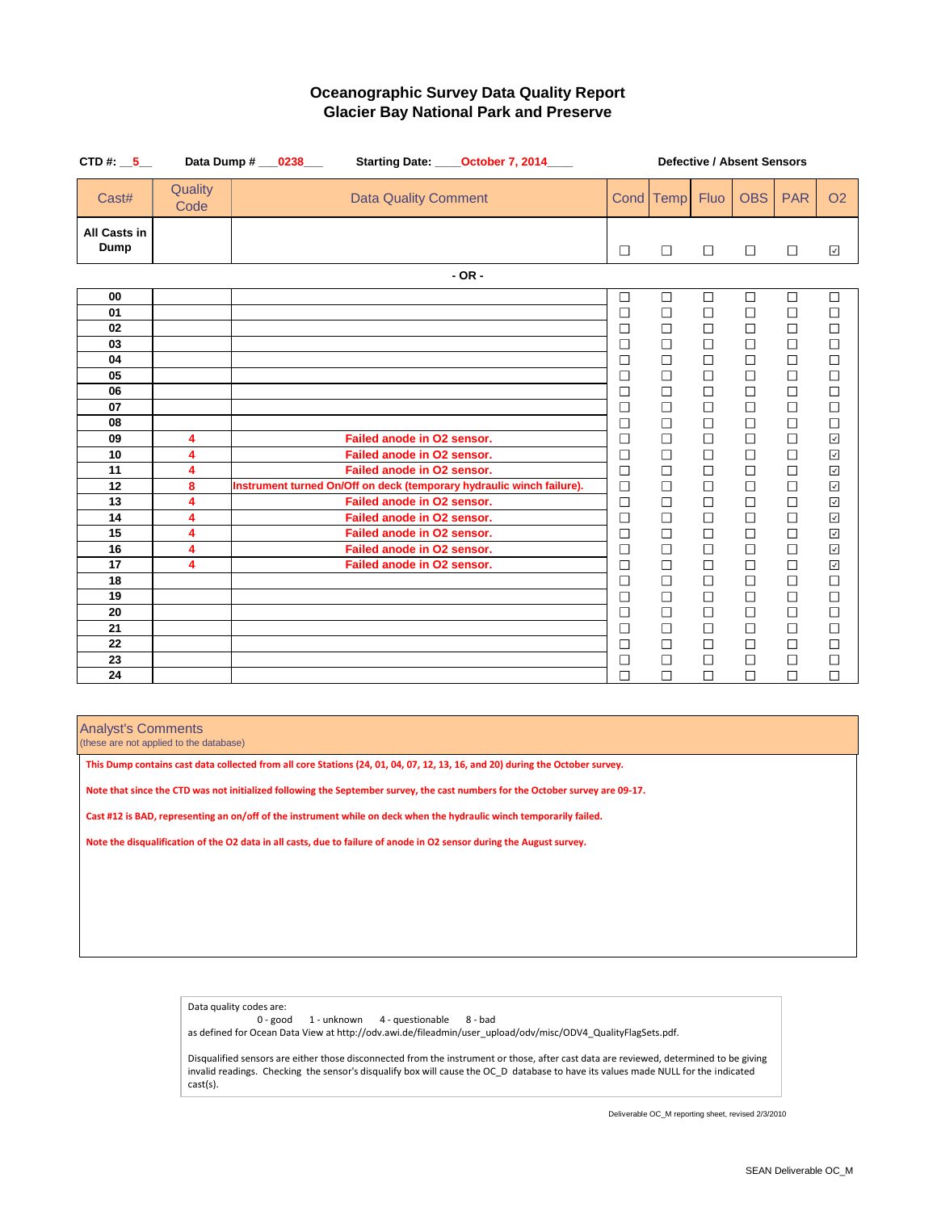| CTD #: $\_5$                       |                 | Data Dump # ___ 0238___                                               |                                                                                               | Starting Date: _____October 7, 2014____ | <b>Defective / Absent Sensors</b> |                                      |                                      |                                      |                                      |                                                              |
|------------------------------------|-----------------|-----------------------------------------------------------------------|-----------------------------------------------------------------------------------------------|-----------------------------------------|-----------------------------------|--------------------------------------|--------------------------------------|--------------------------------------|--------------------------------------|--------------------------------------------------------------|
| Cast#                              | Quality<br>Code |                                                                       | <b>Data Quality Comment</b>                                                                   |                                         |                                   | Cond Temp                            | <b>Fluo</b>                          | <b>OBS</b>                           | <b>PAR</b>                           | <b>O2</b>                                                    |
| <b>All Casts in</b><br><b>Dump</b> |                 |                                                                       |                                                                                               |                                         | $\Box$                            | $\Box$                               | $\Box$                               | $\Box$                               | $\Box$                               | $\checkmark$                                                 |
|                                    |                 |                                                                       |                                                                                               | $-OR -$                                 |                                   |                                      |                                      |                                      |                                      |                                                              |
| 00<br>01<br>02                     |                 |                                                                       |                                                                                               |                                         | $\Box$<br>$\Box$<br>$\Box$        | $\Box$<br>$\Box$<br>$\Box$           | $\Box$<br>$\Box$<br>$\Box$           | $\Box$<br>$\Box$<br>$\Box$           | $\Box$<br>$\Box$<br>$\Box$           | $\Box$<br>$\Box$<br>$\Box$                                   |
| 03<br>04<br>05<br>06               |                 |                                                                       |                                                                                               |                                         | $\Box$<br>$\Box$<br>$\Box$        | $\Box$<br>$\Box$<br>$\Box$<br>$\Box$ | $\Box$<br>$\Box$<br>$\Box$<br>$\Box$ | $\Box$<br>$\Box$<br>$\Box$<br>$\Box$ | $\Box$<br>$\Box$<br>$\Box$<br>$\Box$ | $\Box$<br>$\Box$<br>$\Box$<br>$\Box$                         |
| 07<br>08                           |                 |                                                                       |                                                                                               |                                         | $\Box$<br>$\Box$<br>$\Box$        | $\Box$<br>$\Box$                     | $\Box$<br>$\Box$                     | $\Box$<br>$\Box$                     | $\Box$<br>$\Box$                     | $\Box$<br>$\Box$                                             |
| 09<br>10<br>11                     | 4<br>4<br>4     |                                                                       | Failed anode in O2 sensor.<br><b>Failed anode in O2 sensor.</b><br>Failed anode in O2 sensor. |                                         | $\Box$<br>$\Box$<br>$\Box$        | $\Box$<br>$\Box$<br>$\Box$           | $\Box$<br>$\Box$<br>$\Box$           | $\Box$<br>$\Box$<br>$\Box$           | $\Box$<br>$\Box$<br>$\Box$           | $\blacktriangledown$<br>$\checkmark$<br>$\blacktriangledown$ |
| 12<br>13                           | 8<br>4          | Instrument turned On/Off on deck (temporary hydraulic winch failure). | Failed anode in O2 sensor.                                                                    |                                         | $\Box$<br>$\Box$                  | $\Box$<br>$\Box$                     | $\Box$<br>$\Box$                     | $\Box$<br>$\Box$                     | $\Box$<br>$\Box$                     | $\blacktriangledown$<br>$\blacktriangledown$                 |
| 14<br>15                           | 4<br>4          |                                                                       | <b>Failed anode in O2 sensor.</b><br>Failed anode in O2 sensor.                               |                                         | $\Box$<br>$\Box$                  | $\Box$<br>$\Box$                     | $\Box$<br>$\Box$                     | $\Box$<br>$\Box$                     | $\Box$<br>$\Box$                     | $\overline{\mathbf{r}}$<br>$\blacktriangledown$              |
| 16<br>17<br>18                     | 4<br>4          |                                                                       | Failed anode in O2 sensor.<br>Failed anode in O2 sensor.                                      |                                         | $\Box$<br>$\Box$<br>$\Box$        | $\Box$<br>$\Box$<br>$\Box$           | $\Box$<br>$\Box$<br>$\Box$           | $\Box$<br>$\Box$<br>$\Box$           | $\Box$<br>$\Box$<br>$\Box$           | $\overline{\phantom{a}}$<br>$\sqrt{2}$<br>$\Box$             |
| 19<br>20                           |                 |                                                                       |                                                                                               |                                         | $\Box$<br>$\Box$                  | $\Box$<br>$\Box$                     | $\Box$<br>$\Box$                     | $\Box$<br>$\Box$                     | $\Box$<br>$\Box$                     | $\mathcal{L}_{\mathcal{A}}$                                  |
| 21<br>22                           |                 |                                                                       |                                                                                               |                                         | $\Box$<br>$\Box$                  | $\Box$<br>$\Box$                     | $\Box$<br>$\Box$                     | $\Box$<br>$\Box$                     | $\Box$<br>$\Box$                     | $\Box$<br>$\Box$                                             |
| 23<br>24                           |                 |                                                                       |                                                                                               |                                         | $\Box$<br>$\Box$                  | $\Box$<br>$\Box$                     | $\Box$<br>$\Box$                     | $\Box$<br>$\Box$                     | $\Box$<br>$\Box$                     | $\Box$<br>$\Box$                                             |

### **Oceanographic Survey Data Quality Report Glacier Bay National Park and Preserve**

#### Analyst's Comments

(these are not applied to the database)

Data quality codes are:

0 - good 1 - unknown 4 - questionable 8 - bad

as defined for Ocean Data View at http://odv.awi.de/fileadmin/user\_upload/odv/misc/ODV4\_QualityFlagSets.pdf.

Disqualified sensors are either those disconnected from the instrument or those, after cast data are reviewed, determined to be giving invalid readings. Checking the sensor's disqualify box will cause the OC\_D database to have its values made NULL for the indicated cast(s).

**This Dump contains cast data collected from all core Stations (24, 01, 04, 07, 12, 13, 16, and 20) during the October survey.**

**Note that since the CTD was not initialized following the September survey, the cast numbers for the October survey are 09-17.**

**Cast #12 is BAD, representing an on/off of the instrument while on deck when the hydraulic winch temporarily failed.**

**Note the disqualification of the O2 data in all casts, due to failure of anode in O2 sensor during the August survey.**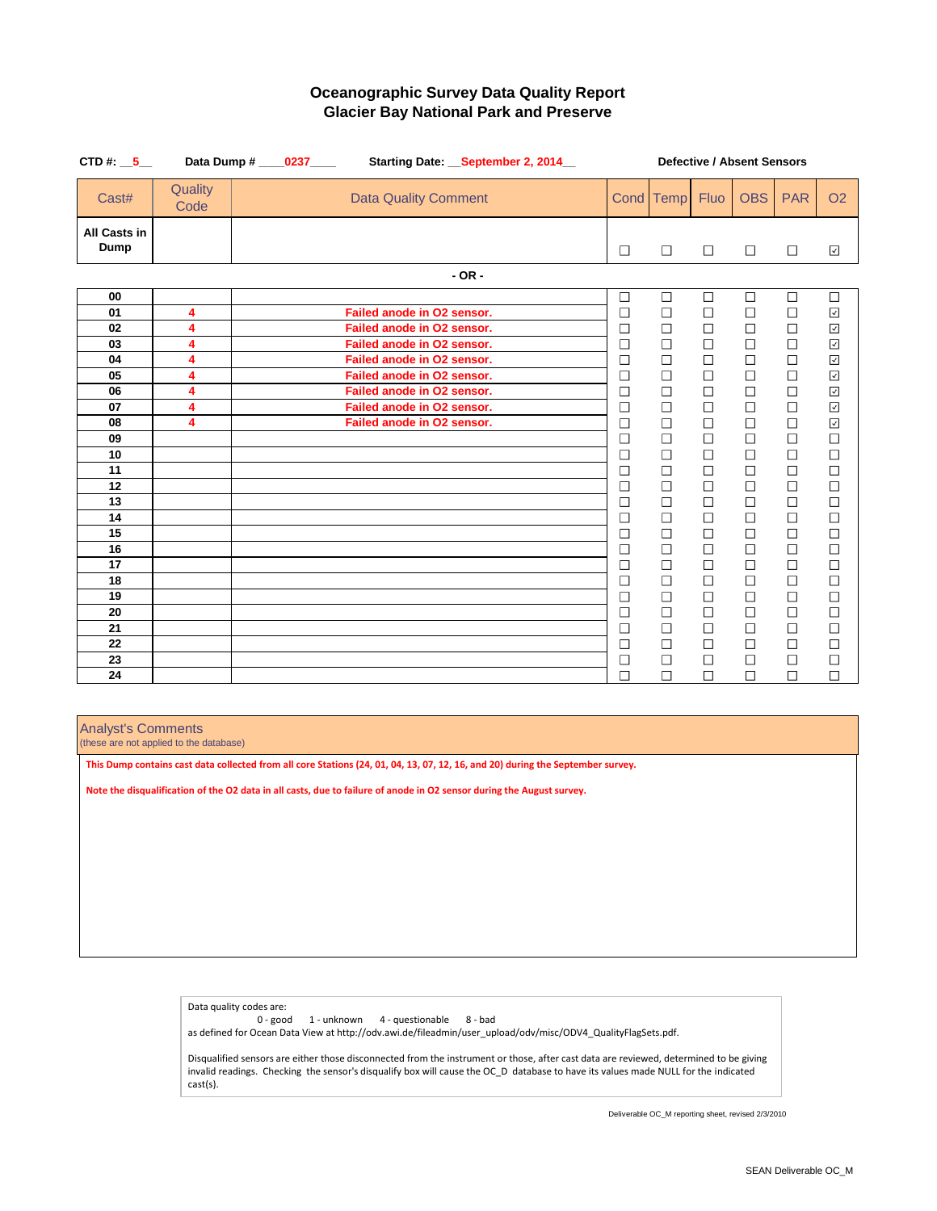| CTD #: $\_5$                       |                 | Data Dump # ____ 0237 ____ |                             | Starting Date: September 2, 2014 | <b>Defective / Absent Sensors</b> |                  |                          |                  |                  |                          |
|------------------------------------|-----------------|----------------------------|-----------------------------|----------------------------------|-----------------------------------|------------------|--------------------------|------------------|------------------|--------------------------|
| Cast#                              | Quality<br>Code |                            | <b>Data Quality Comment</b> |                                  |                                   | Cond Temp        | <b>Fluo</b>              | <b>OBS</b>       | <b>PAR</b>       | <b>O2</b>                |
| <b>All Casts in</b><br><b>Dump</b> |                 |                            |                             |                                  | $\Box$                            | $\Box$           | $\Box$                   | $\Box$           | $\Box$           | $\checkmark$             |
|                                    |                 |                            |                             | $-OR -$                          |                                   |                  |                          |                  |                  |                          |
| 00                                 |                 |                            |                             |                                  | $\Box$                            | $\Box$           | $\Box$                   | $\Box$           | $\Box$           | $\Box$                   |
| 01                                 | 4               |                            | Failed anode in O2 sensor.  |                                  | $\Box$                            | $\Box$           | $\Box$                   | $\Box$           | $\Box$           | $\overline{\mathcal{L}}$ |
| 02                                 | 4               |                            | Failed anode in O2 sensor.  |                                  | $\Box$                            | $\Box$           | $\Box$                   | $\Box$           | $\Box$           | $\checkmark$             |
| 03                                 | 4               |                            | Failed anode in O2 sensor.  |                                  | $\Box$                            | $\Box$           | $\Box$                   | $\Box$           | $\Box$           | $\overline{\phantom{a}}$ |
| 04                                 | 4               |                            | Failed anode in O2 sensor.  |                                  | $\Box$                            | $\Box$           | $\Box$                   | $\Box$           | $\Box$           | $\blacktriangledown$     |
| 05                                 | 4               |                            | Failed anode in O2 sensor.  |                                  | $\Box$                            | $\Box$           | $\Box$                   | $\Box$           | $\Box$           | $\checkmark$             |
| 06                                 | 4               |                            | Failed anode in O2 sensor.  |                                  | $\Box$                            | $\Box$           | $\Box$                   | $\Box$           | $\Box$           | $\blacktriangledown$     |
| 07                                 | 4               |                            | Failed anode in O2 sensor.  |                                  | $\Box$                            | $\Box$           | $\Box$                   | $\Box$           | $\Box$           | $\overline{\mathbf{v}}$  |
| 08                                 | 4               |                            | Failed anode in O2 sensor.  |                                  | $\Box$                            | $\Box$           | $\Box$                   | $\Box$           | $\Box$           | $\checkmark$             |
| 09                                 |                 |                            |                             |                                  | $\Box$                            | $\Box$           | $\Box$                   | $\Box$           | $\Box$           | $\Box$                   |
| 10                                 |                 |                            |                             |                                  | $\Box$                            | $\Box$           | $\Box$                   | $\Box$           | $\Box$           | $\Box$                   |
| 11                                 |                 |                            |                             |                                  | $\Box$                            | $\Box$           | $\Box$                   | $\Box$           | $\Box$           | $\Box$                   |
| 12                                 |                 |                            |                             |                                  | $\Box$                            | $\Box$           | $\Box$                   | $\Box$           | $\Box$           | $\Box$                   |
| 13                                 |                 |                            |                             |                                  | $\Box$                            | $\Box$           | $\Box$                   | $\Box$           | $\Box$           | $\Box$                   |
| 14                                 |                 |                            |                             |                                  | $\Box$                            | $\Box$           | $\Box$                   | $\Box$           | $\Box$           | $\Box$                   |
| 15                                 |                 |                            |                             |                                  | $\Box$                            | $\Box$           | $\overline{\phantom{a}}$ | $\Box$           | $\Box$           | $\Box$                   |
| 16                                 |                 |                            |                             |                                  | $\Box$                            | $\Box$           | $\Box$                   | $\Box$           | $\Box$           | $\Box$                   |
| 17                                 |                 |                            |                             |                                  | $\Box$<br>$\Box$                  | $\Box$<br>$\Box$ | $\Box$<br>$\Box$         | $\Box$<br>$\Box$ | $\Box$<br>$\Box$ | $\Box$<br>$\Box$         |
| 18                                 |                 |                            |                             |                                  |                                   |                  |                          |                  |                  |                          |
| 19                                 |                 |                            |                             |                                  | $\Box$                            | $\Box$           | $\Box$                   | $\Box$           | $\Box$           | $\overline{\phantom{0}}$ |
| 20<br>21                           |                 |                            |                             |                                  | $\Box$<br>$\Box$                  | $\Box$<br>$\Box$ | $\Box$<br>$\Box$         | $\Box$<br>$\Box$ | $\Box$<br>$\Box$ |                          |
| 22                                 |                 |                            |                             |                                  | $\Box$                            | $\Box$           | $\Box$                   | $\Box$           | $\Box$           | $\Box$                   |
| 23                                 |                 |                            |                             |                                  | $\Box$                            | $\Box$           | $\Box$                   | $\Box$           | $\Box$           | $\Box$                   |
| 24                                 |                 |                            |                             |                                  | $\Box$                            | $\Box$           | $\Box$                   | $\Box$           | $\Box$           | $\Box$                   |
|                                    |                 |                            |                             |                                  |                                   |                  |                          |                  |                  |                          |

# **Oceanographic Survey Data Quality Report Glacier Bay National Park and Preserve**

### Analyst's Comments

(these are not applied to the database)

Data quality codes are:

0 - good 1 - unknown 4 - questionable 8 - bad

as defined for Ocean Data View at http://odv.awi.de/fileadmin/user\_upload/odv/misc/ODV4\_QualityFlagSets.pdf.

Disqualified sensors are either those disconnected from the instrument or those, after cast data are reviewed, determined to be giving invalid readings. Checking the sensor's disqualify box will cause the OC\_D database to have its values made NULL for the indicated cast(s).

**This Dump contains cast data collected from all core Stations (24, 01, 04, 13, 07, 12, 16, and 20) during the September survey.**

**Note the disqualification of the O2 data in all casts, due to failure of anode in O2 sensor during the August survey.**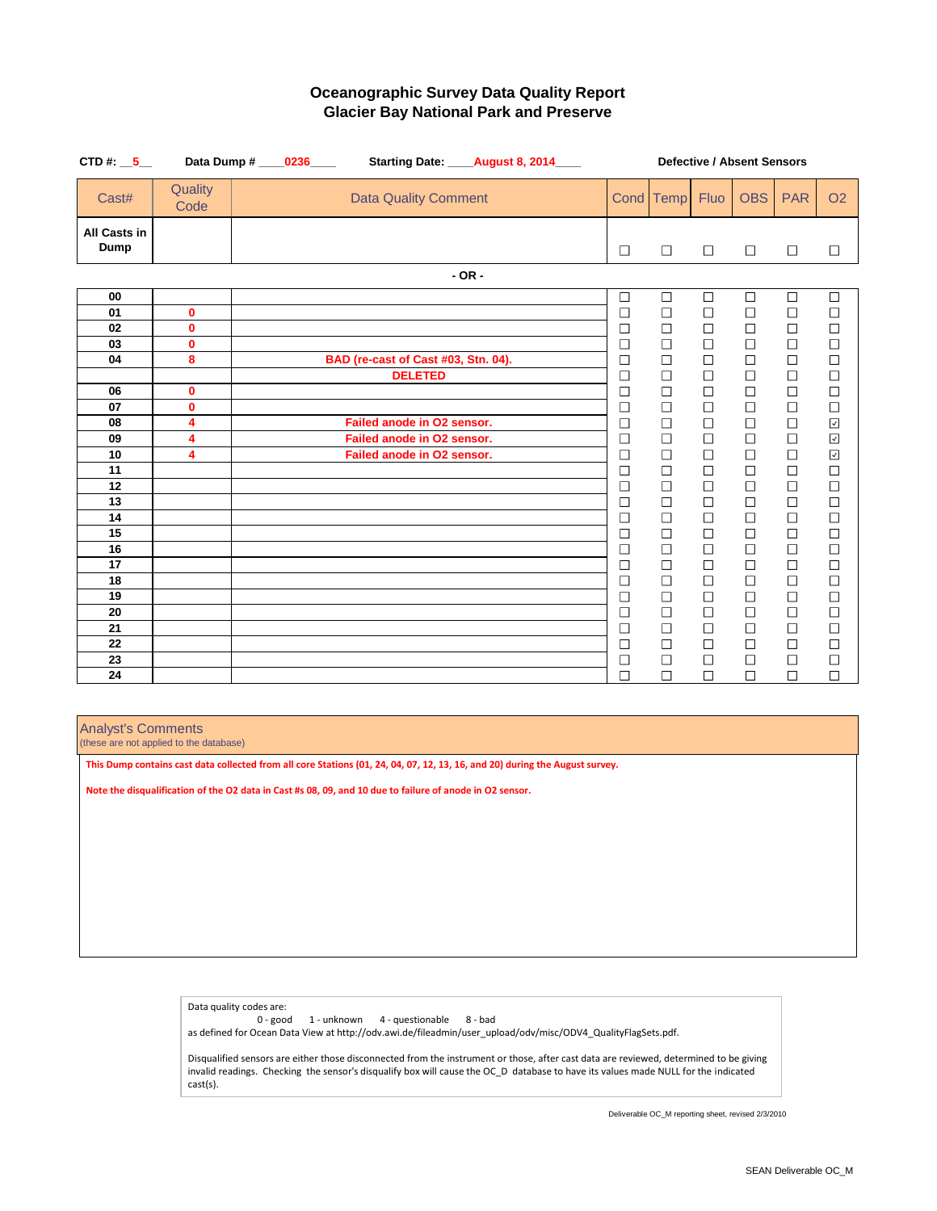| CTD #: $\_5$                       |                 | Starting Date: _____ August 8, 2014____<br>Data Dump # _____0236_____ |                  | <b>Defective / Absent Sensors</b> |                  |                  |                  |                                                   |
|------------------------------------|-----------------|-----------------------------------------------------------------------|------------------|-----------------------------------|------------------|------------------|------------------|---------------------------------------------------|
| Cast#                              | Quality<br>Code | <b>Data Quality Comment</b>                                           |                  | Cond Temp                         | <b>Fluo</b>      | <b>OBS</b>       | <b>PAR</b>       | <b>O2</b>                                         |
| <b>All Casts in</b><br><b>Dump</b> |                 |                                                                       | $\Box$           | $\Box$                            | $\Box$           | $\Box$           | $\Box$           | $\Box$                                            |
|                                    |                 | $-$ OR $-$                                                            |                  |                                   |                  |                  |                  |                                                   |
| 00                                 |                 |                                                                       | $\Box$           | $\Box$                            | $\Box$           | $\Box$           | $\Box$           | $\Box$                                            |
| 01                                 | $\mathbf 0$     |                                                                       | $\Box$           | $\Box$                            | $\Box$           | $\Box$           | $\Box$           | $\Box$                                            |
| 02                                 | $\mathbf 0$     |                                                                       | $\Box$           | $\Box$                            | $\Box$           | $\Box$           | $\Box$           | $\Box$                                            |
| 03                                 | $\mathbf 0$     |                                                                       | $\Box$           | $\Box$                            | $\Box$           | $\Box$           | $\Box$           | $\begin{array}{c} \square \\ \square \end{array}$ |
| 04                                 | 8               | BAD (re-cast of Cast #03, Stn. 04).                                   | $\Box$           | $\Box$                            | $\Box$           | $\Box$           | $\Box$           |                                                   |
|                                    |                 | <b>DELETED</b>                                                        | $\Box$           | $\Box$                            | $\Box$           | $\Box$           | $\Box$           | $\Box$                                            |
| 06                                 | $\mathbf 0$     |                                                                       | $\Box$           | $\Box$                            | $\Box$           | $\Box$           | $\Box$           | $\Box$                                            |
| 07                                 | $\mathbf 0$     |                                                                       | $\Box$           | $\Box$                            | $\Box$           | $\Box$           | $\Box$           | $\Box$                                            |
| 08                                 | 4               | Failed anode in O2 sensor.                                            | $\Box$           | $\Box$                            | $\Box$           | $\Box$           | $\Box$           | $\checkmark$                                      |
| 09                                 | 4               | Failed anode in O2 sensor.                                            | $\Box$           | $\Box$                            | $\Box$           | $\Box$           | $\Box$           | $\blacktriangledown$                              |
| 10                                 | 4               | Failed anode in O2 sensor.                                            | $\Box$           | $\Box$                            | $\Box$           | $\Box$           | $\Box$           | $\checkmark$                                      |
| 11                                 |                 |                                                                       | $\Box$           | $\Box$                            | $\Box$           | $\Box$           | $\Box$           | $\Box$                                            |
| 12                                 |                 |                                                                       | $\Box$           | $\Box$                            | $\Box$           | $\Box$           | $\Box$           | $\Box$                                            |
| 13                                 |                 |                                                                       | $\Box$           | $\Box$                            | $\Box$           | $\Box$           | $\Box$           | $\Box$                                            |
| 14                                 |                 |                                                                       | $\Box$           | $\Box$                            | $\Box$           | $\Box$           | $\Box$           | $\Box$                                            |
| 15                                 |                 |                                                                       | $\Box$           | $\Box$                            | $\Box$           | $\Box$           | $\Box$           | $\Box$                                            |
| 16                                 |                 |                                                                       | $\Box$           | $\Box$                            | $\Box$           | $\Box$           | $\Box$           | $\Box$                                            |
| 17<br>18                           |                 |                                                                       | $\Box$<br>$\Box$ | $\Box$<br>$\Box$                  | $\Box$<br>$\Box$ | $\Box$<br>$\Box$ | $\Box$<br>$\Box$ | $\Box$<br>$\Box$                                  |
| 19                                 |                 |                                                                       | $\Box$           | $\Box$                            | $\Box$           |                  |                  |                                                   |
| 20                                 |                 |                                                                       | $\Box$           | $\Box$                            | $\Box$           | $\Box$<br>$\Box$ | $\Box$<br>$\Box$ | $\Box$<br>$\Box$                                  |
| 21                                 |                 |                                                                       | $\Box$           | $\Box$                            | $\Box$           | $\Box$           | $\Box$           | $\Box$                                            |
| 22                                 |                 |                                                                       | $\Box$           | $\Box$                            | $\Box$           | $\Box$           | $\Box$           | $\Box$                                            |
| 23                                 |                 |                                                                       | $\Box$           | $\Box$                            | $\Box$           | $\Box$           | $\Box$           | $\Box$                                            |
| 24                                 |                 |                                                                       | $\Box$           | $\Box$                            | $\Box$           | $\Box$           | $\Box$           | $\Box$                                            |

# **Oceanographic Survey Data Quality Report Glacier Bay National Park and Preserve**

### Analyst's Comments

(these are not applied to the database)

Data quality codes are:

0 - good 1 - unknown 4 - questionable 8 - bad

as defined for Ocean Data View at http://odv.awi.de/fileadmin/user\_upload/odv/misc/ODV4\_QualityFlagSets.pdf.

Disqualified sensors are either those disconnected from the instrument or those, after cast data are reviewed, determined to be giving invalid readings. Checking the sensor's disqualify box will cause the OC\_D database to have its values made NULL for the indicated cast(s).

**This Dump contains cast data collected from all core Stations (01, 24, 04, 07, 12, 13, 16, and 20) during the August survey.**

**Note the disqualification of the O2 data in Cast #s 08, 09, and 10 due to failure of anode in O2 sensor.**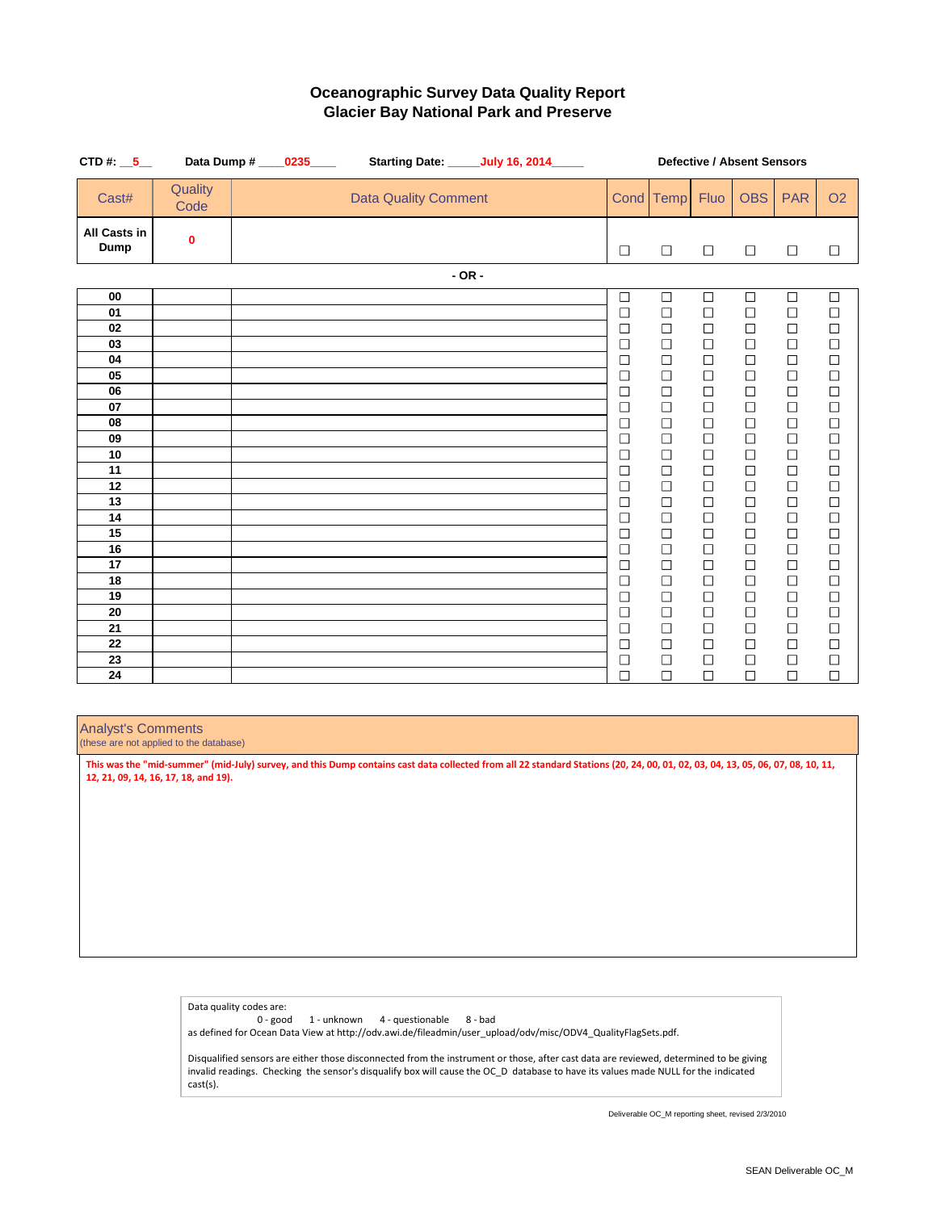| CTD #: $\_5$                       |                  | Data Dump # ____0235____ |                             | <b>Starting Date: ______ July 16, 2014_____</b> |                  | <b>Defective / Absent Sensors</b> |                  |                  |                  |                                                   |
|------------------------------------|------------------|--------------------------|-----------------------------|-------------------------------------------------|------------------|-----------------------------------|------------------|------------------|------------------|---------------------------------------------------|
| Cast#                              | Quality<br>Code  |                          | <b>Data Quality Comment</b> |                                                 |                  | Cond Temp                         | <b>Fluo</b>      | <b>OBS</b>       | <b>PAR</b>       | <b>O2</b>                                         |
| <b>All Casts in</b><br><b>Dump</b> | $\boldsymbol{0}$ |                          |                             |                                                 | $\Box$           | $\Box$                            | $\Box$           | $\Box$           | $\Box$           | $\Box$                                            |
|                                    |                  |                          |                             | $- OR -$                                        |                  |                                   |                  |                  |                  |                                                   |
| 00                                 |                  |                          |                             |                                                 | $\Box$           | $\Box$                            | $\Box$           | $\Box$           | $\Box$           | $\Box$                                            |
| 01                                 |                  |                          |                             |                                                 | $\Box$           | $\Box$                            | $\Box$           | $\Box$           | $\Box$           | $\Box$                                            |
| 02                                 |                  |                          |                             |                                                 | $\Box$           | $\Box$                            | $\Box$           | $\Box$           | $\Box$           | $\Box$                                            |
| 03                                 |                  |                          |                             |                                                 | $\Box$           | $\Box$                            | $\Box$           | $\Box$           | $\Box$           | $\Box$                                            |
| 04                                 |                  |                          |                             |                                                 | $\Box$           | $\Box$                            | $\Box$           | $\Box$           | $\Box$           | $\begin{array}{c} \square \\ \square \end{array}$ |
| 05                                 |                  |                          |                             |                                                 | $\Box$           | $\Box$                            | $\Box$           | $\Box$           | $\Box$           |                                                   |
| 06                                 |                  |                          |                             |                                                 | $\Box$           | $\Box$                            | $\Box$           | $\Box$           | $\Box$           | $\Box$                                            |
| 07                                 |                  |                          |                             |                                                 | $\Box$           | $\Box$                            | $\Box$           | $\Box$           | $\Box$           | $\Box$                                            |
| 08                                 |                  |                          |                             |                                                 | $\Box$           | $\Box$                            | $\Box$           | $\Box$           | $\Box$           | $\Box$                                            |
| 09                                 |                  |                          |                             |                                                 | $\Box$           | $\Box$                            | $\Box$           | $\Box$           | $\Box$           | $\Box$                                            |
| 10<br>11                           |                  |                          |                             |                                                 | $\Box$           | $\Box$                            | $\Box$           | $\Box$           | $\Box$           | $\Box$                                            |
| 12                                 |                  |                          |                             |                                                 | $\Box$           | $\Box$<br>$\Box$                  | $\Box$<br>$\Box$ | $\Box$<br>$\Box$ | $\Box$<br>$\Box$ | $\Box$<br>$\Box$                                  |
| 13                                 |                  |                          |                             |                                                 | $\Box$<br>$\Box$ | $\Box$                            | $\Box$           | $\Box$           | $\Box$           | $\Box$                                            |
| 14                                 |                  |                          |                             |                                                 | $\Box$           | $\Box$                            | $\Box$           | $\Box$           | $\Box$           | $\Box$                                            |
| 15                                 |                  |                          |                             |                                                 | $\Box$           | $\Box$                            | $\Box$           | $\Box$           | $\Box$           | $\Box$                                            |
| 16                                 |                  |                          |                             |                                                 | $\Box$           | $\Box$                            | $\Box$           | $\Box$           | $\Box$           | $\Box$                                            |
| 17                                 |                  |                          |                             |                                                 | $\Box$           | $\Box$                            | $\Box$           | $\Box$           | $\Box$           |                                                   |
| 18                                 |                  |                          |                             |                                                 | $\Box$           | $\Box$                            | $\Box$           | $\Box$           | $\Box$           | $\begin{array}{c} \square \\ \square \end{array}$ |
| 19                                 |                  |                          |                             |                                                 | $\Box$           | $\Box$                            | $\Box$           | $\Box$           | $\Box$           | $\Box$                                            |
| 20                                 |                  |                          |                             |                                                 | $\Box$           | $\Box$                            | $\Box$           | $\Box$           | $\Box$           | $\Box$                                            |
| 21                                 |                  |                          |                             |                                                 | $\Box$           | $\Box$                            | $\Box$           | $\Box$           | $\Box$           | $\Box$                                            |
| 22                                 |                  |                          |                             |                                                 | $\Box$           | $\Box$                            | $\Box$           | $\Box$           | $\Box$           | $\Box$                                            |
| 23                                 |                  |                          |                             |                                                 | $\Box$           | $\Box$                            | $\Box$           | $\Box$           | $\Box$           | $\Box$                                            |
| 24                                 |                  |                          |                             |                                                 | $\Box$           | $\Box$                            | $\Box$           | $\Box$           | $\Box$           | $\Box$                                            |

### **Oceanographic Survey Data Quality Report Glacier Bay National Park and Preserve**

Analyst's Comments

(these are not applied to the database)

Data quality codes are:

0 - good 1 - unknown 4 - questionable 8 - bad

as defined for Ocean Data View at http://odv.awi.de/fileadmin/user\_upload/odv/misc/ODV4\_QualityFlagSets.pdf.

Disqualified sensors are either those disconnected from the instrument or those, after cast data are reviewed, determined to be giving invalid readings. Checking the sensor's disqualify box will cause the OC\_D database to have its values made NULL for the indicated cast(s).

**This was the "mid-summer" (mid-July) survey, and this Dump contains cast data collected from all 22 standard Stations (20, 24, 00, 01, 02, 03, 04, 13, 05, 06, 07, 08, 10, 11, 12, 21, 09, 14, 16, 17, 18, and 19).**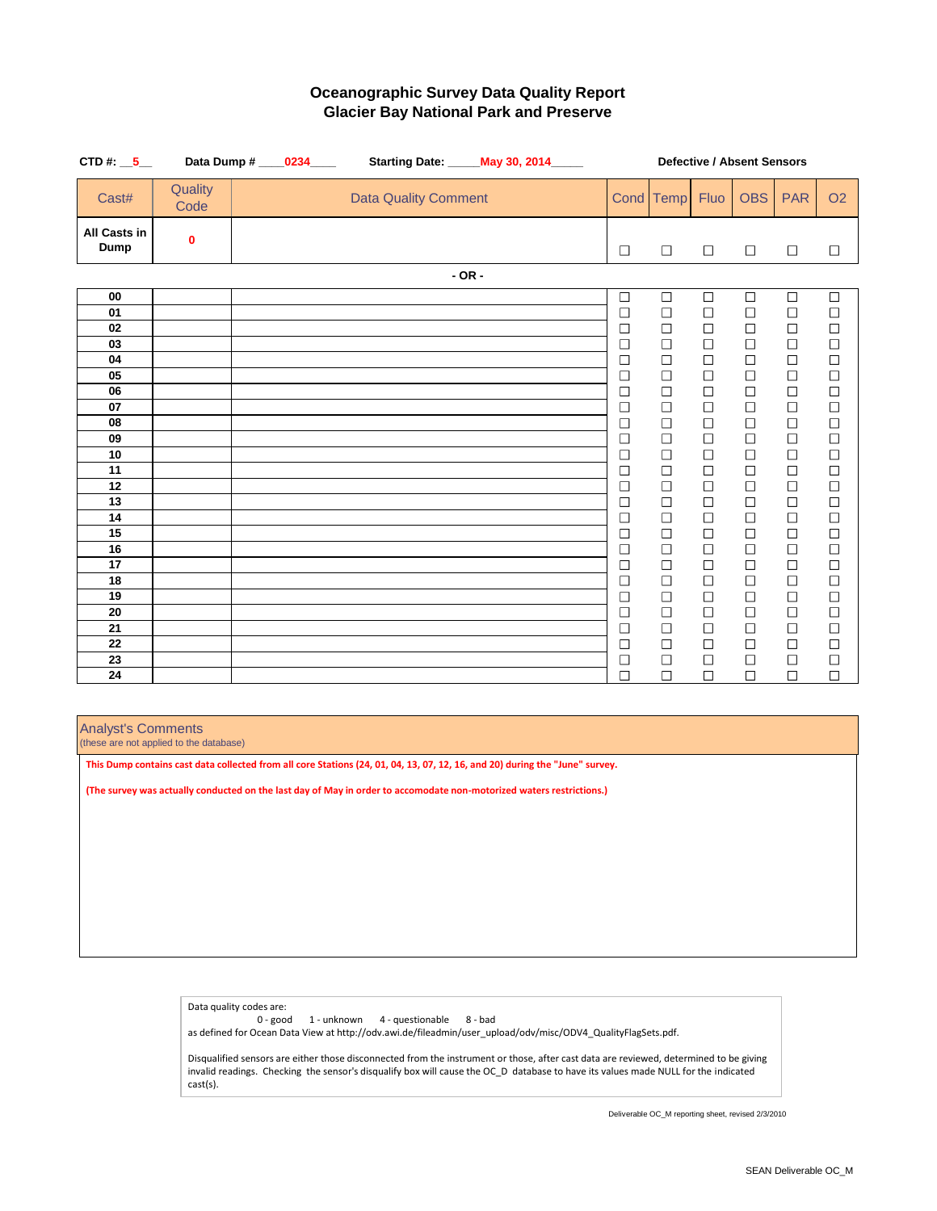| CTD #: $\_5$                       |                  | Data Dump # ____ 0234____ |                             |          | <b>Starting Date: May 30, 2014</b> | <b>Defective / Absent Sensors</b> |                  |                  |                  |                  |                                                   |
|------------------------------------|------------------|---------------------------|-----------------------------|----------|------------------------------------|-----------------------------------|------------------|------------------|------------------|------------------|---------------------------------------------------|
| Cast#                              | Quality<br>Code  |                           | <b>Data Quality Comment</b> |          |                                    |                                   | Cond Temp        | <b>Fluo</b>      | <b>OBS</b>       | <b>PAR</b>       | <b>O2</b>                                         |
| <b>All Casts in</b><br><b>Dump</b> | $\boldsymbol{0}$ |                           |                             |          |                                    | $\Box$                            | $\Box$           | $\Box$           | $\Box$           | $\Box$           | $\Box$                                            |
|                                    |                  |                           |                             | $- OR -$ |                                    |                                   |                  |                  |                  |                  |                                                   |
| 00                                 |                  |                           |                             |          |                                    | $\Box$                            | $\Box$           | $\Box$           | $\Box$           | $\Box$           | $\Box$                                            |
| 01                                 |                  |                           |                             |          |                                    | $\Box$                            | $\Box$           | $\Box$           | $\Box$           | $\Box$           | $\Box$                                            |
| 02                                 |                  |                           |                             |          |                                    | $\Box$                            | $\Box$           | $\Box$           | $\Box$           | $\Box$           | $\Box$                                            |
| 03                                 |                  |                           |                             |          |                                    | $\Box$                            | $\Box$           | $\Box$           | $\Box$           | $\Box$           | $\Box$                                            |
| 04                                 |                  |                           |                             |          |                                    | $\Box$                            | $\Box$           | $\Box$           | $\Box$           | $\Box$           | $\begin{array}{c} \square \\ \square \end{array}$ |
| 05                                 |                  |                           |                             |          |                                    | $\Box$                            | $\Box$           | $\Box$           | $\Box$           | $\Box$           |                                                   |
| 06                                 |                  |                           |                             |          |                                    | $\Box$                            | $\Box$           | $\Box$           | $\Box$           | $\Box$           | $\Box$                                            |
| 07                                 |                  |                           |                             |          |                                    | $\Box$                            | $\Box$           | $\Box$           | $\Box$           | $\Box$           | $\Box$                                            |
| 08                                 |                  |                           |                             |          |                                    | $\Box$                            | $\Box$           | $\Box$           | $\Box$           | $\Box$           | $\Box$                                            |
| 09                                 |                  |                           |                             |          |                                    | $\Box$                            | $\Box$           | $\Box$           | $\Box$           | $\Box$           | $\Box$                                            |
| 10<br>11                           |                  |                           |                             |          |                                    | $\Box$<br>$\Box$                  | $\Box$<br>$\Box$ | $\Box$<br>$\Box$ | $\Box$<br>$\Box$ | $\Box$<br>$\Box$ | $\Box$<br>$\Box$                                  |
| 12                                 |                  |                           |                             |          |                                    | $\Box$                            | $\Box$           | $\Box$           | $\Box$           | $\Box$           | $\Box$                                            |
| 13                                 |                  |                           |                             |          |                                    | $\Box$                            | $\Box$           | $\Box$           | $\Box$           | $\Box$           | $\Box$                                            |
| 14                                 |                  |                           |                             |          |                                    | $\Box$                            | $\Box$           | $\Box$           | $\Box$           | $\Box$           | $\Box$                                            |
| 15                                 |                  |                           |                             |          |                                    | $\Box$                            | $\Box$           | $\Box$           | $\Box$           | $\Box$           | $\Box$                                            |
| 16                                 |                  |                           |                             |          |                                    | $\Box$                            | $\Box$           | $\Box$           | $\Box$           | $\Box$           | $\Box$                                            |
| 17                                 |                  |                           |                             |          |                                    | $\Box$                            | $\Box$           | $\Box$           | $\Box$           | $\Box$           |                                                   |
| 18                                 |                  |                           |                             |          |                                    | $\Box$                            | $\Box$           | $\Box$           | $\Box$           | $\Box$           | $\begin{array}{c} \square \\ \square \end{array}$ |
| 19                                 |                  |                           |                             |          |                                    | $\Box$                            | $\Box$           | $\Box$           | $\Box$           | $\Box$           | $\Box$                                            |
| 20                                 |                  |                           |                             |          |                                    | $\Box$                            | $\Box$           | $\Box$           | $\Box$           | $\Box$           | $\Box$                                            |
| 21                                 |                  |                           |                             |          |                                    | $\Box$                            | $\Box$           | $\Box$           | $\Box$           | $\Box$           | $\Box$                                            |
| 22                                 |                  |                           |                             |          |                                    | $\Box$                            | $\Box$           | $\Box$           | $\Box$           | $\Box$           | $\Box$                                            |
| 23                                 |                  |                           |                             |          |                                    | $\Box$                            | $\Box$           | $\Box$           | $\Box$           | $\Box$           | $\Box$                                            |
| 24                                 |                  |                           |                             |          |                                    | $\Box$                            | $\Box$           | $\Box$           | $\Box$           | $\Box$           | $\Box$                                            |

# **Oceanographic Survey Data Quality Report Glacier Bay National Park and Preserve**

Analyst's Comments

(these are not applied to the database)

Data quality codes are:

0 - good 1 - unknown 4 - questionable 8 - bad

as defined for Ocean Data View at http://odv.awi.de/fileadmin/user\_upload/odv/misc/ODV4\_QualityFlagSets.pdf.

Disqualified sensors are either those disconnected from the instrument or those, after cast data are reviewed, determined to be giving invalid readings. Checking the sensor's disqualify box will cause the OC\_D database to have its values made NULL for the indicated cast(s).

**This Dump contains cast data collected from all core Stations (24, 01, 04, 13, 07, 12, 16, and 20) during the "June" survey.**

**(The survey was actually conducted on the last day of May in order to accomodate non-motorized waters restrictions.)**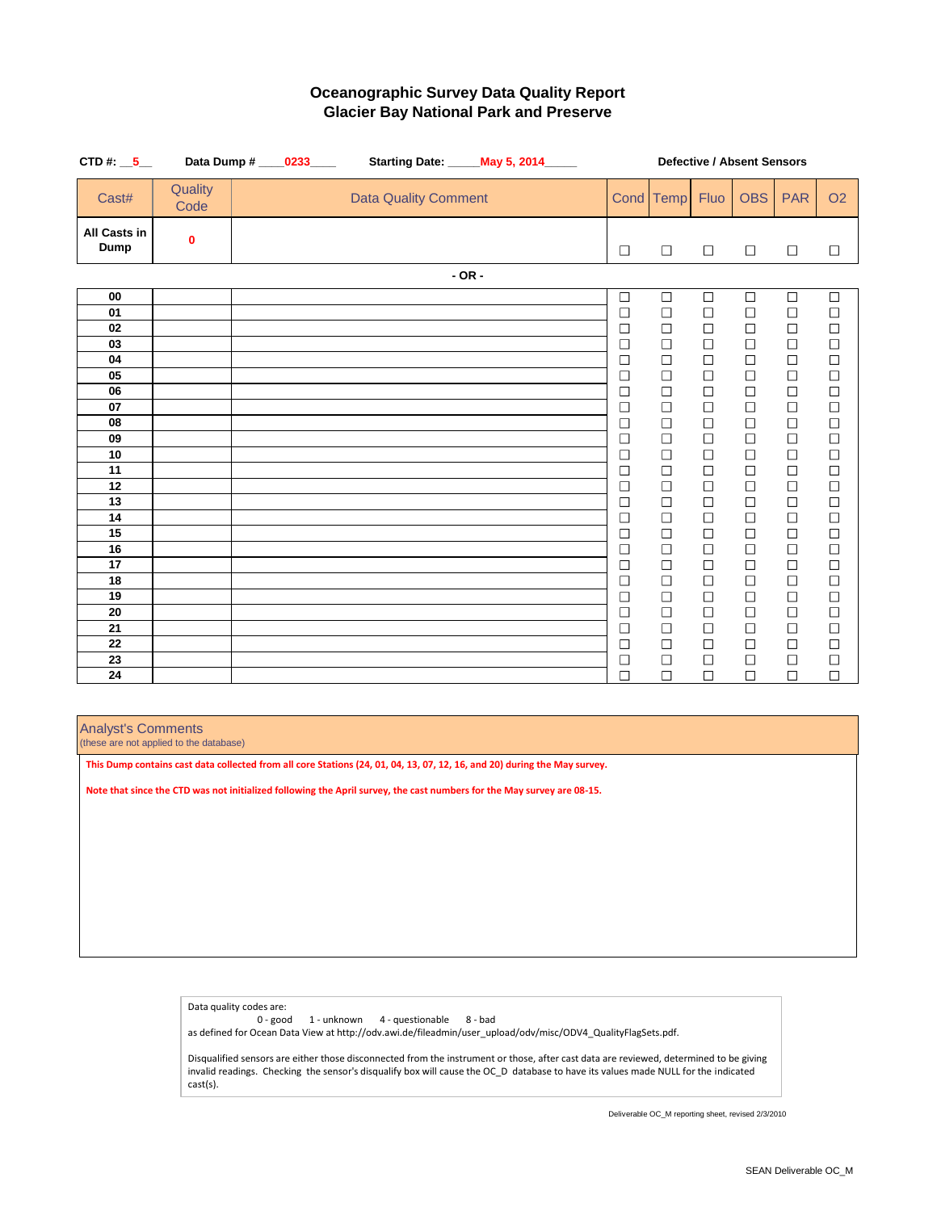| CTD #: $\_5$                                                                                 |                  | Data Dump # ____0233____ |                             | <b>Starting Date: May 5, 2014</b> ____ | <b>Defective / Absent Sensors</b>                                                                                                                            |                                                                                                                                                              |                                                                                                                                                              |                                                                                                                                                              |                                                                                                                                                              |                                                                                                                                                                                           |
|----------------------------------------------------------------------------------------------|------------------|--------------------------|-----------------------------|----------------------------------------|--------------------------------------------------------------------------------------------------------------------------------------------------------------|--------------------------------------------------------------------------------------------------------------------------------------------------------------|--------------------------------------------------------------------------------------------------------------------------------------------------------------|--------------------------------------------------------------------------------------------------------------------------------------------------------------|--------------------------------------------------------------------------------------------------------------------------------------------------------------|-------------------------------------------------------------------------------------------------------------------------------------------------------------------------------------------|
| Cast#                                                                                        | Quality<br>Code  |                          | <b>Data Quality Comment</b> |                                        |                                                                                                                                                              | Cond Temp                                                                                                                                                    | <b>Fluo</b>                                                                                                                                                  | <b>OBS</b>                                                                                                                                                   | <b>PAR</b>                                                                                                                                                   | <b>O2</b>                                                                                                                                                                                 |
| <b>All Casts in</b><br><b>Dump</b>                                                           | $\boldsymbol{0}$ |                          |                             |                                        | $\Box$                                                                                                                                                       | $\Box$                                                                                                                                                       | $\Box$                                                                                                                                                       | $\Box$                                                                                                                                                       | $\Box$                                                                                                                                                       | $\Box$                                                                                                                                                                                    |
|                                                                                              |                  |                          |                             | $- OR -$                               |                                                                                                                                                              |                                                                                                                                                              |                                                                                                                                                              |                                                                                                                                                              |                                                                                                                                                              |                                                                                                                                                                                           |
| 00<br>01<br>02<br>03<br>04<br>05<br>06<br>07<br>08<br>09<br>10<br>11<br>12<br>13<br>14<br>15 |                  |                          |                             |                                        | $\Box$<br>$\Box$<br>$\Box$<br>$\Box$<br>$\Box$<br>$\Box$<br>$\Box$<br>$\Box$<br>$\Box$<br>$\Box$<br>$\Box$<br>$\Box$<br>$\Box$<br>$\Box$<br>$\Box$<br>$\Box$ | $\Box$<br>$\Box$<br>$\Box$<br>$\Box$<br>$\Box$<br>$\Box$<br>$\Box$<br>$\Box$<br>$\Box$<br>$\Box$<br>$\Box$<br>$\Box$<br>$\Box$<br>$\Box$<br>$\Box$<br>$\Box$ | $\Box$<br>$\Box$<br>$\Box$<br>$\Box$<br>$\Box$<br>$\Box$<br>$\Box$<br>$\Box$<br>$\Box$<br>$\Box$<br>$\Box$<br>$\Box$<br>$\Box$<br>$\Box$<br>$\Box$<br>$\Box$ | $\Box$<br>$\Box$<br>$\Box$<br>$\Box$<br>$\Box$<br>$\Box$<br>$\Box$<br>$\Box$<br>$\Box$<br>$\Box$<br>$\Box$<br>$\Box$<br>$\Box$<br>$\Box$<br>$\Box$<br>$\Box$ | $\Box$<br>$\Box$<br>$\Box$<br>$\Box$<br>$\Box$<br>$\Box$<br>$\Box$<br>$\Box$<br>$\Box$<br>$\Box$<br>$\Box$<br>$\Box$<br>$\Box$<br>$\Box$<br>$\Box$<br>$\Box$ | $\Box$<br>$\Box$<br>$\Box$<br>$\Box$<br>$\Box$<br>$\Box$<br>$\Box$<br>$\begin{array}{c}\n\Box \\ \Box\n\end{array}$<br>$\Box$<br>$\Box$<br>$\Box$<br>$\Box$<br>$\Box$<br>$\Box$<br>$\Box$ |
| 16<br>17<br>18<br>19<br>20<br>21<br>22<br>23                                                 |                  |                          |                             |                                        | $\Box$<br>$\Box$<br>$\Box$<br>$\Box$<br>$\Box$<br>$\Box$<br>$\Box$<br>$\Box$                                                                                 | $\Box$<br>$\Box$<br>$\Box$<br>$\overline{\phantom{a}}$<br>$\Box$<br>$\Box$<br>$\Box$<br>$\Box$                                                               | $\Box$<br>$\Box$<br>$\Box$<br>$\Box$<br>$\Box$<br>$\Box$<br>$\Box$<br>$\Box$                                                                                 | $\Box$<br>$\Box$<br>$\Box$<br>$\Box$<br>$\Box$<br>$\Box$<br>$\Box$                                                                                           | $\Box$<br>$\Box$<br>$\Box$<br>$\Box$<br>$\Box$<br>$\Box$<br>$\Box$<br>$\Box$                                                                                 | $\Box$<br>$\Box$<br>$\Box$<br>$\Box$<br>$\Box$<br>$\Box$<br>$\Box$                                                                                                                        |
| 24                                                                                           |                  |                          |                             |                                        | $\Box$                                                                                                                                                       | П                                                                                                                                                            | $\Box$                                                                                                                                                       | $\mathbb{R}^n$                                                                                                                                               | $\Box$                                                                                                                                                       |                                                                                                                                                                                           |

# **Oceanographic Survey Data Quality Report Glacier Bay National Park and Preserve**

### Analyst's Comments

(these are not applied to the database)

Data quality codes are:

0 - good 1 - unknown 4 - questionable 8 - bad

as defined for Ocean Data View at http://odv.awi.de/fileadmin/user\_upload/odv/misc/ODV4\_QualityFlagSets.pdf.

Disqualified sensors are either those disconnected from the instrument or those, after cast data are reviewed, determined to be giving invalid readings. Checking the sensor's disqualify box will cause the OC\_D database to have its values made NULL for the indicated cast(s).

**This Dump contains cast data collected from all core Stations (24, 01, 04, 13, 07, 12, 16, and 20) during the May survey.**

**Note that since the CTD was not initialized following the April survey, the cast numbers for the May survey are 08-15.**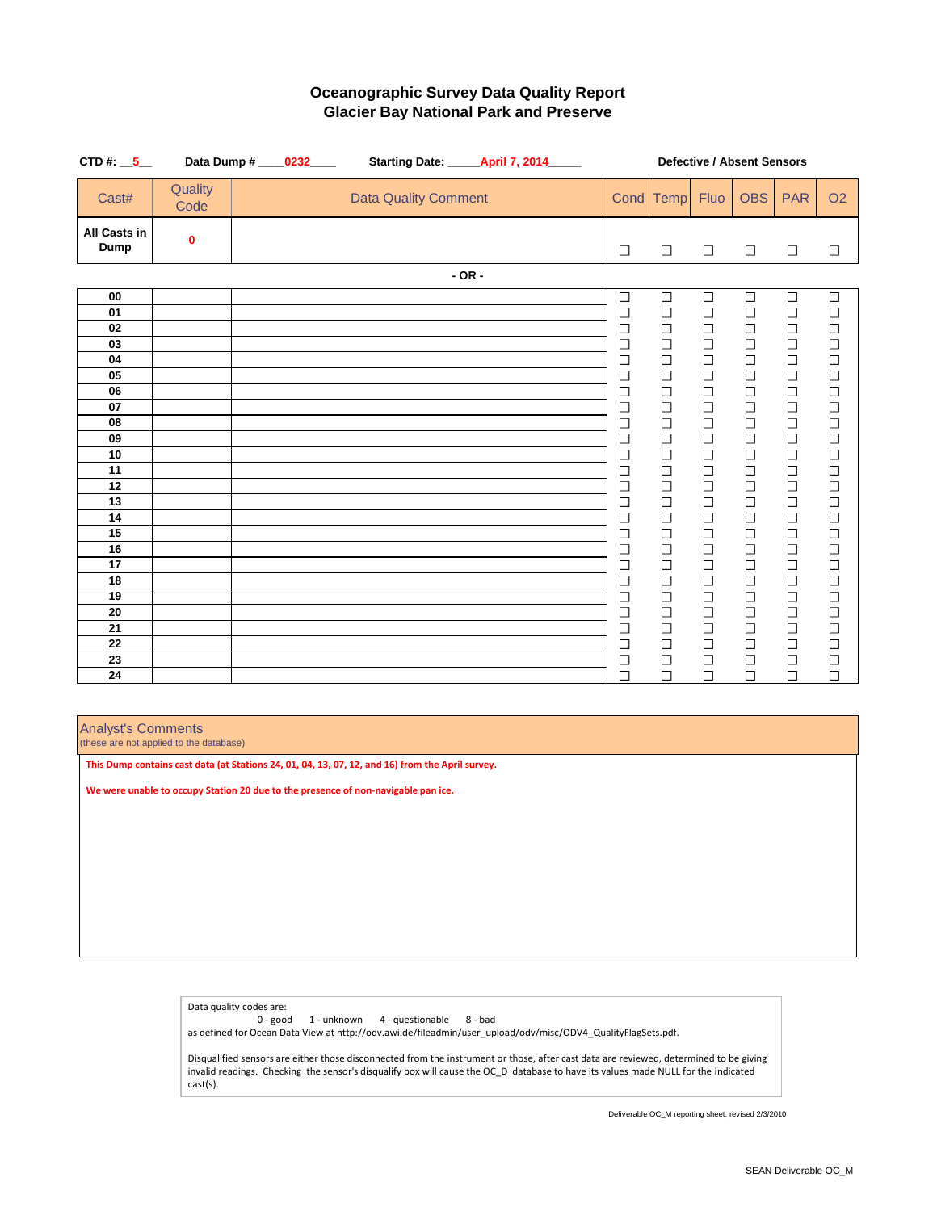| CTD #: $\_5$                       |                  | Data Dump # ____ 0232____ |                             | <b>Starting Date: ______ April 7, 2014______</b> | <b>Defective / Absent Sensors</b> |                  |                  |                  |                  |                                                   |
|------------------------------------|------------------|---------------------------|-----------------------------|--------------------------------------------------|-----------------------------------|------------------|------------------|------------------|------------------|---------------------------------------------------|
| Cast#                              | Quality<br>Code  |                           | <b>Data Quality Comment</b> |                                                  |                                   | Cond Temp        | <b>Fluo</b>      | <b>OBS</b>       | <b>PAR</b>       | <b>O2</b>                                         |
| <b>All Casts in</b><br><b>Dump</b> | $\boldsymbol{0}$ |                           |                             |                                                  | $\Box$                            | $\Box$           | $\Box$           | $\Box$           | $\Box$           | $\Box$                                            |
|                                    |                  |                           |                             | $- OR -$                                         |                                   |                  |                  |                  |                  |                                                   |
| 00                                 |                  |                           |                             |                                                  | $\Box$                            | $\Box$           | $\Box$           | $\Box$           | $\Box$           | $\Box$                                            |
| 01                                 |                  |                           |                             |                                                  | $\Box$                            | $\Box$           | $\Box$           | $\Box$           | $\Box$           | $\Box$                                            |
| 02                                 |                  |                           |                             |                                                  | $\Box$                            | $\Box$           | $\Box$           | $\Box$           | $\Box$           | $\Box$                                            |
| 03                                 |                  |                           |                             |                                                  | $\Box$                            | $\Box$           | $\Box$           | $\Box$           | $\Box$           | $\Box$                                            |
| 04                                 |                  |                           |                             |                                                  | $\Box$                            | $\Box$           | $\Box$           | $\Box$           | $\Box$           | $\begin{array}{c} \square \\ \square \end{array}$ |
| 05                                 |                  |                           |                             |                                                  | $\Box$                            | $\Box$           | $\Box$           | $\Box$           | $\Box$           |                                                   |
| 06                                 |                  |                           |                             |                                                  | $\Box$                            | $\Box$           | $\Box$           | $\Box$           | $\Box$           | $\Box$                                            |
| 07                                 |                  |                           |                             |                                                  | $\Box$                            | $\Box$           | $\Box$           | $\Box$           | $\Box$           | $\Box$                                            |
| 08                                 |                  |                           |                             |                                                  | $\Box$                            | $\Box$           | $\Box$           | $\Box$           | $\Box$           | $\Box$                                            |
| 09                                 |                  |                           |                             |                                                  | $\Box$                            | $\Box$           | $\Box$           | $\Box$           | $\Box$           | $\Box$                                            |
| 10<br>11                           |                  |                           |                             |                                                  | $\Box$                            | $\Box$           | $\Box$           | $\Box$           | $\Box$           | $\Box$                                            |
| 12                                 |                  |                           |                             |                                                  | $\Box$                            | $\Box$<br>$\Box$ | $\Box$<br>$\Box$ | $\Box$<br>$\Box$ | $\Box$           | $\Box$                                            |
| 13                                 |                  |                           |                             |                                                  | $\Box$<br>$\Box$                  | $\Box$           | $\Box$           | $\Box$           | $\Box$<br>$\Box$ | $\Box$<br>$\Box$                                  |
| 14                                 |                  |                           |                             |                                                  | $\Box$                            | $\Box$           | $\Box$           | $\Box$           | $\Box$           | $\Box$                                            |
| 15                                 |                  |                           |                             |                                                  | $\Box$                            | $\Box$           | $\Box$           | $\Box$           | $\Box$           | $\Box$                                            |
| 16                                 |                  |                           |                             |                                                  | $\Box$                            | $\Box$           | $\Box$           | $\Box$           | $\Box$           | $\Box$                                            |
| 17                                 |                  |                           |                             |                                                  | $\Box$                            | $\Box$           | $\Box$           | $\Box$           | $\Box$           | $\Box$                                            |
| 18                                 |                  |                           |                             |                                                  | $\Box$                            | $\Box$           | $\Box$           | $\Box$           | $\Box$           | $\Box$                                            |
| 19                                 |                  |                           |                             |                                                  | $\Box$                            | $\Box$           | $\Box$           | $\Box$           | $\Box$           |                                                   |
| 20                                 |                  |                           |                             |                                                  | $\Box$                            | $\Box$           | $\Box$           | $\Box$           | $\Box$           | $\Box$                                            |
| 21                                 |                  |                           |                             |                                                  | $\Box$                            | $\Box$           | $\Box$           |                  | $\Box$           | $\Box$                                            |
| 22                                 |                  |                           |                             |                                                  | $\Box$                            | $\Box$           | $\Box$           | $\Box$           | $\Box$           | $\Box$                                            |
| 23                                 |                  |                           |                             |                                                  | $\Box$                            | $\Box$           | $\Box$           |                  | $\Box$           | $\Box$                                            |
| 24                                 |                  |                           |                             |                                                  | $\Box$                            | $\Box$           | $\Box$           | $\Box$           | $\Box$           | $\Box$                                            |

# **Oceanographic Survey Data Quality Report Glacier Bay National Park and Preserve**

### Analyst's Comments

(these are not applied to the database)

Data quality codes are:

0 - good 1 - unknown 4 - questionable 8 - bad

as defined for Ocean Data View at http://odv.awi.de/fileadmin/user\_upload/odv/misc/ODV4\_QualityFlagSets.pdf.

Disqualified sensors are either those disconnected from the instrument or those, after cast data are reviewed, determined to be giving invalid readings. Checking the sensor's disqualify box will cause the OC\_D database to have its values made NULL for the indicated cast(s).

**This Dump contains cast data (at Stations 24, 01, 04, 13, 07, 12, and 16) from the April survey.**

**We were unable to occupy Station 20 due to the presence of non-navigable pan ice.**